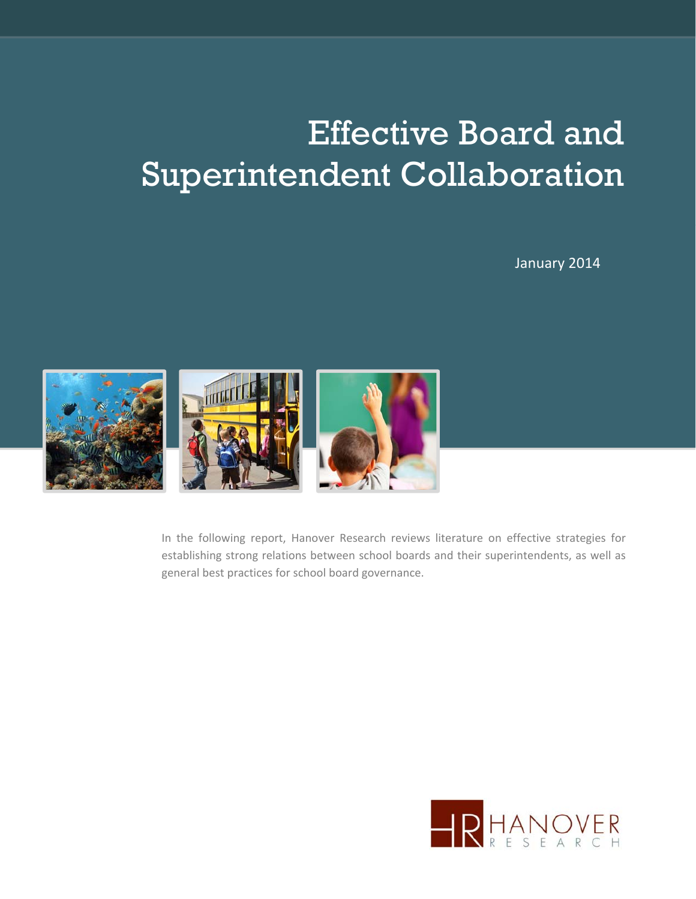# Effective Board and Superintendent Collaboration

January 2014



In the following report, Hanover Research reviews literature on effective strategies for establishing strong relations between school boards and their superintendents, as well as general best practices for school board governance.

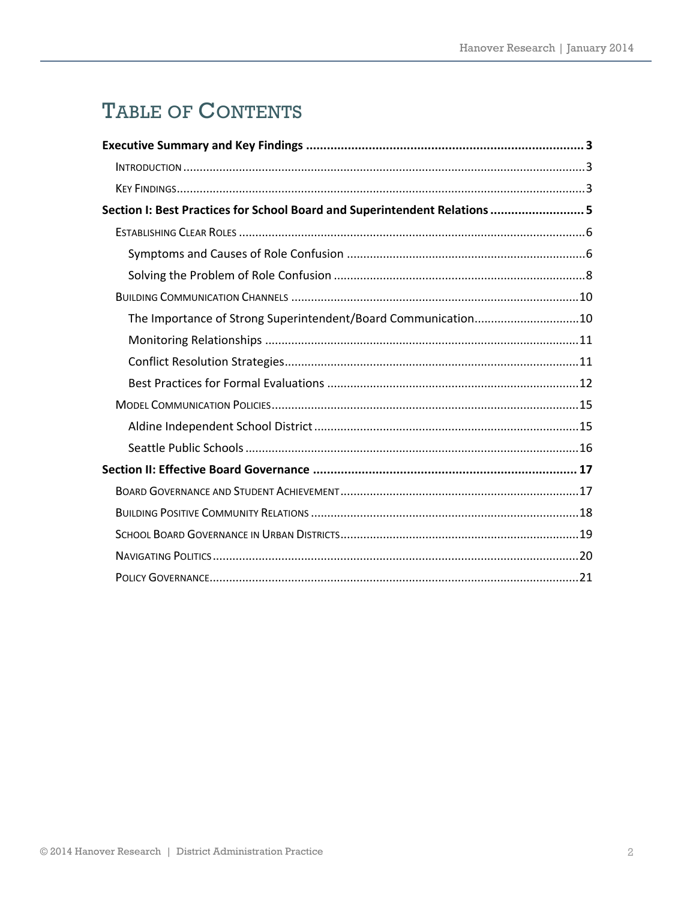# TABLE OF CONTENTS

| Section I: Best Practices for School Board and Superintendent Relations  5 |  |
|----------------------------------------------------------------------------|--|
|                                                                            |  |
|                                                                            |  |
|                                                                            |  |
|                                                                            |  |
| The Importance of Strong Superintendent/Board Communication10              |  |
|                                                                            |  |
|                                                                            |  |
|                                                                            |  |
|                                                                            |  |
|                                                                            |  |
|                                                                            |  |
|                                                                            |  |
|                                                                            |  |
|                                                                            |  |
|                                                                            |  |
|                                                                            |  |
|                                                                            |  |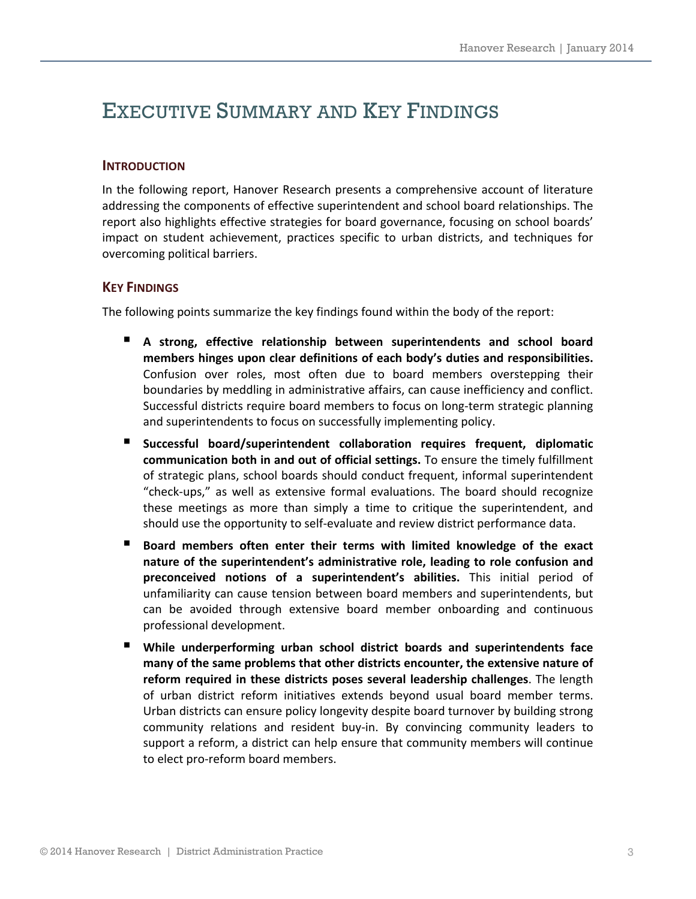### EXECUTIVE SUMMARY AND KEY FINDINGS

#### **INTRODUCTION**

In the following report, Hanover Research presents a comprehensive account of literature addressing the components of effective superintendent and school board relationships. The report also highlights effective strategies for board governance, focusing on school boards' impact on student achievement, practices specific to urban districts, and techniques for overcoming political barriers.

#### **KEY FINDINGS**

The following points summarize the key findings found within the body of the report:

- **A strong, effective relationship between superintendents and school board members hinges upon clear definitions of each body's duties and responsibilities.** Confusion over roles, most often due to board members overstepping their boundaries by meddling in administrative affairs, can cause inefficiency and conflict. Successful districts require board members to focus on long‐term strategic planning and superintendents to focus on successfully implementing policy.
- **Successful board/superintendent collaboration requires frequent, diplomatic communication both in and out of official settings.** To ensure the timely fulfillment of strategic plans, school boards should conduct frequent, informal superintendent "check‐ups," as well as extensive formal evaluations. The board should recognize these meetings as more than simply a time to critique the superintendent, and should use the opportunity to self‐evaluate and review district performance data.
- **Board members often enter their terms with limited knowledge of the exact nature of the superintendent's administrative role, leading to role confusion and preconceived notions of a superintendent's abilities.** This initial period of unfamiliarity can cause tension between board members and superintendents, but can be avoided through extensive board member onboarding and continuous professional development.
- **While underperforming urban school district boards and superintendents face many of the same problems that other districts encounter, the extensive nature of reform required in these districts poses several leadership challenges**. The length of urban district reform initiatives extends beyond usual board member terms. Urban districts can ensure policy longevity despite board turnover by building strong community relations and resident buy‐in. By convincing community leaders to support a reform, a district can help ensure that community members will continue to elect pro‐reform board members.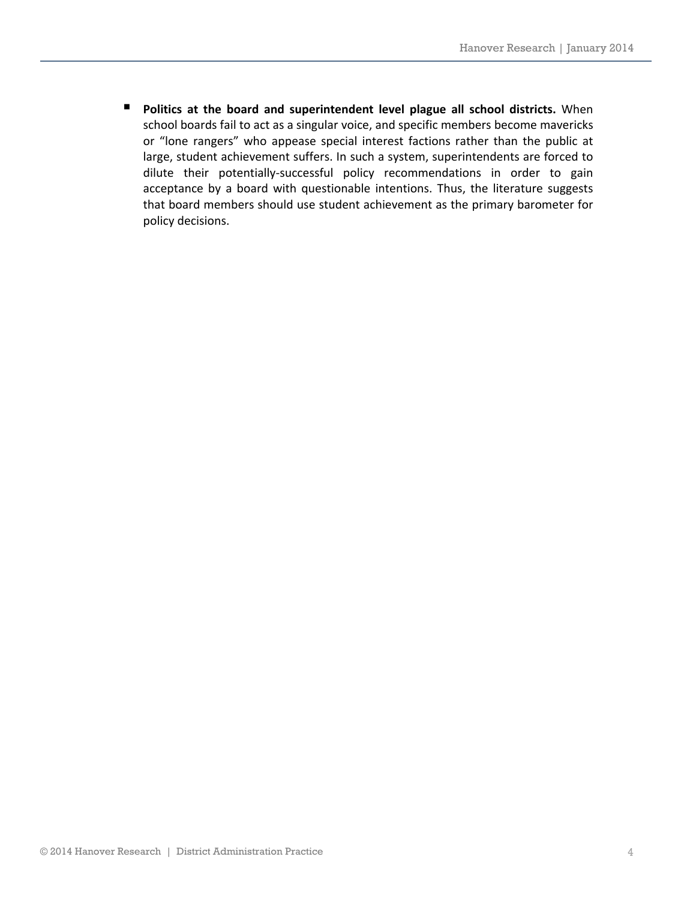**Politics at the board and superintendent level plague all school districts.** When school boards fail to act as a singular voice, and specific members become mavericks or "lone rangers" who appease special interest factions rather than the public at large, student achievement suffers. In such a system, superintendents are forced to dilute their potentially‐successful policy recommendations in order to gain acceptance by a board with questionable intentions. Thus, the literature suggests that board members should use student achievement as the primary barometer for policy decisions.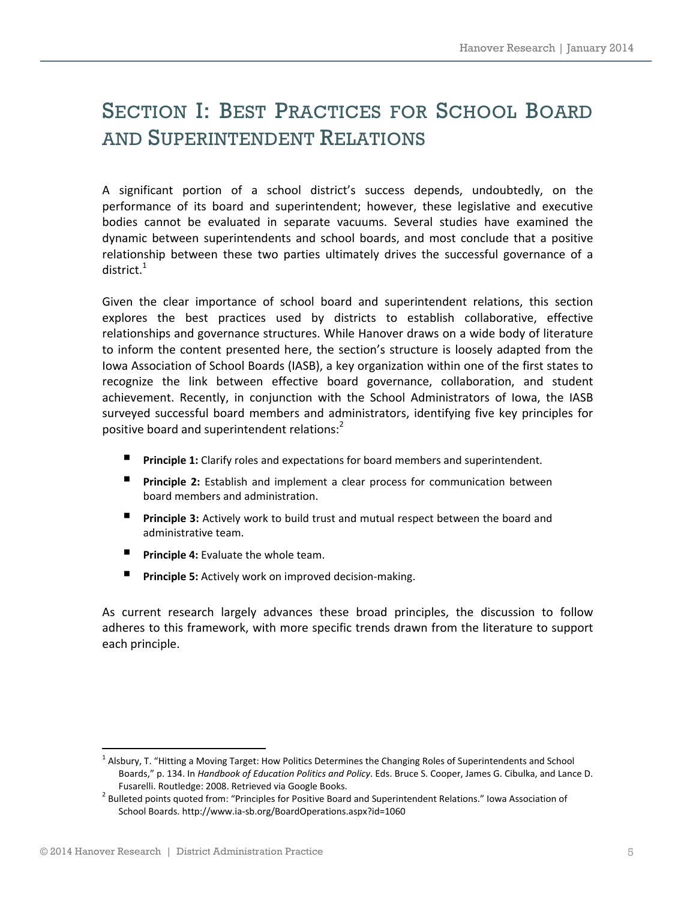# SECTION I: BEST PRACTICES FOR SCHOOL BOARD AND SUPERINTENDENT RELATIONS

A significant portion of a school district's success depends, undoubtedly, on the performance of its board and superintendent; however, these legislative and executive bodies cannot be evaluated in separate vacuums. Several studies have examined the dynamic between superintendents and school boards, and most conclude that a positive relationship between these two parties ultimately drives the successful governance of a district. $^1$ 

Given the clear importance of school board and superintendent relations, this section explores the best practices used by districts to establish collaborative, effective relationships and governance structures. While Hanover draws on a wide body of literature to inform the content presented here, the section's structure is loosely adapted from the Iowa Association of School Boards (IASB), a key organization within one of the first states to recognize the link between effective board governance, collaboration, and student achievement. Recently, in conjunction with the School Administrators of Iowa, the IASB surveyed successful board members and administrators, identifying five key principles for positive board and superintendent relations:

- **Principle 1:** Clarify roles and expectations for board members and superintendent.
- **Principle 2:** Establish and implement a clear process for communication between board members and administration.
- **Principle 3:** Actively work to build trust and mutual respect between the board and administrative team.
- **Principle 4:** Evaluate the whole team.
- **Principle 5:** Actively work on improved decision-making.

As current research largely advances these broad principles, the discussion to follow adheres to this framework, with more specific trends drawn from the literature to support each principle.

  $1$  Alsbury, T. "Hitting a Moving Target: How Politics Determines the Changing Roles of Superintendents and School Boards," p. 134. In *Handbook of Education Politics and Policy*. Eds. Bruce S. Cooper, James G. Cibulka, and Lance D. Fusarelli. Routledge: 2008. Retrieved via Google Books. <sup>2</sup> Bulleted points quoted from: "Principles for Positive Board and Superintendent Relations." Iowa Association of

School Boards. http://www.ia‐sb.org/BoardOperations.aspx?id=1060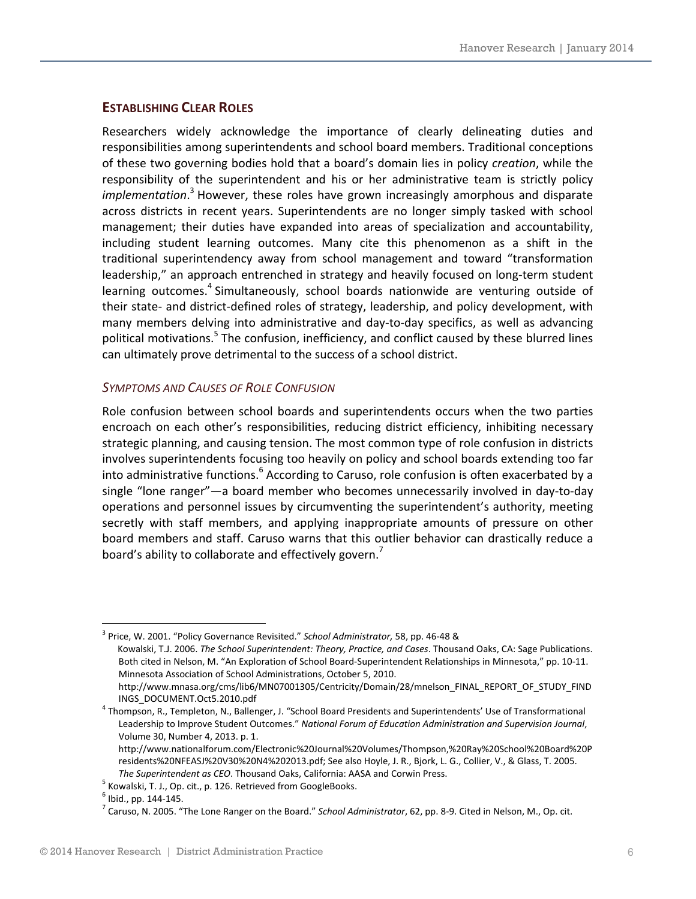#### **ESTABLISHING CLEAR ROLES**

Researchers widely acknowledge the importance of clearly delineating duties and responsibilities among superintendents and school board members. Traditional conceptions of these two governing bodies hold that a board's domain lies in policy *creation*, while the responsibility of the superintendent and his or her administrative team is strictly policy *implementation*. <sup>3</sup> However, these roles have grown increasingly amorphous and disparate across districts in recent years. Superintendents are no longer simply tasked with school management; their duties have expanded into areas of specialization and accountability, including student learning outcomes. Many cite this phenomenon as a shift in the traditional superintendency away from school management and toward "transformation leadership," an approach entrenched in strategy and heavily focused on long-term student learning outcomes.<sup>4</sup> Simultaneously, school boards nationwide are venturing outside of their state‐ and district‐defined roles of strategy, leadership, and policy development, with many members delving into administrative and day-to-day specifics, as well as advancing political motivations.<sup>5</sup> The confusion, inefficiency, and conflict caused by these blurred lines can ultimately prove detrimental to the success of a school district.

#### *SYMPTOMS AND CAUSES OF ROLE CONFUSION*

Role confusion between school boards and superintendents occurs when the two parties encroach on each other's responsibilities, reducing district efficiency, inhibiting necessary strategic planning, and causing tension. The most common type of role confusion in districts involves superintendents focusing too heavily on policy and school boards extending too far into administrative functions.<sup>6</sup> According to Caruso, role confusion is often exacerbated by a single "lone ranger"—a board member who becomes unnecessarily involved in day-to-day operations and personnel issues by circumventing the superintendent's authority, meeting secretly with staff members, and applying inappropriate amounts of pressure on other board members and staff. Caruso warns that this outlier behavior can drastically reduce a board's ability to collaborate and effectively govern.<sup>7</sup>

<sup>3</sup> Price, W. 2001. "Policy Governance Revisited." *School Administrator,* 58, pp. 46‐48 & Kowalski, T.J. 2006. *The School Superintendent: Theory, Practice, and Cases*. Thousand Oaks, CA: Sage Publications. Both cited in Nelson, M. "An Exploration of School Board‐Superintendent Relationships in Minnesota," pp. 10‐11. Minnesota Association of School Administrations, October 5, 2010. http://www.mnasa.org/cms/lib6/MN07001305/Centricity/Domain/28/mnelson\_FINAL\_REPORT\_OF\_STUDY\_FIND

INGS\_DOCUMENT.Oct5.2010.pdf <sup>4</sup> Thompson, R., Templeton, N., Ballenger, J. "School Board Presidents and Superintendents' Use of Transformational Leadership to Improve Student Outcomes." *National Forum of Education Administration and Supervision Journal*, Volume 30, Number 4, 2013. p. 1.

http://www.nationalforum.com/Electronic%20Journal%20Volumes/Thompson,%20Ray%20School%20Board%20P residents%20NFEASJ%20V30%20N4%202013.pdf; See also Hoyle, J. R., Bjork, L. G., Collier, V., & Glass, T. 2005.

The Superintendent as CEO. Thousand Oaks, California: AASA and Corwin Press.<br>
<sup>5</sup> Kowalski, T. J., Op. cit., p. 126. Retrieved from GoogleBooks.<br>
<sup>6</sup> Ibid., pp. 144-145.<br>
<sup>7</sup> Caruso, N. 2005. "The Lone Ranger on the Board.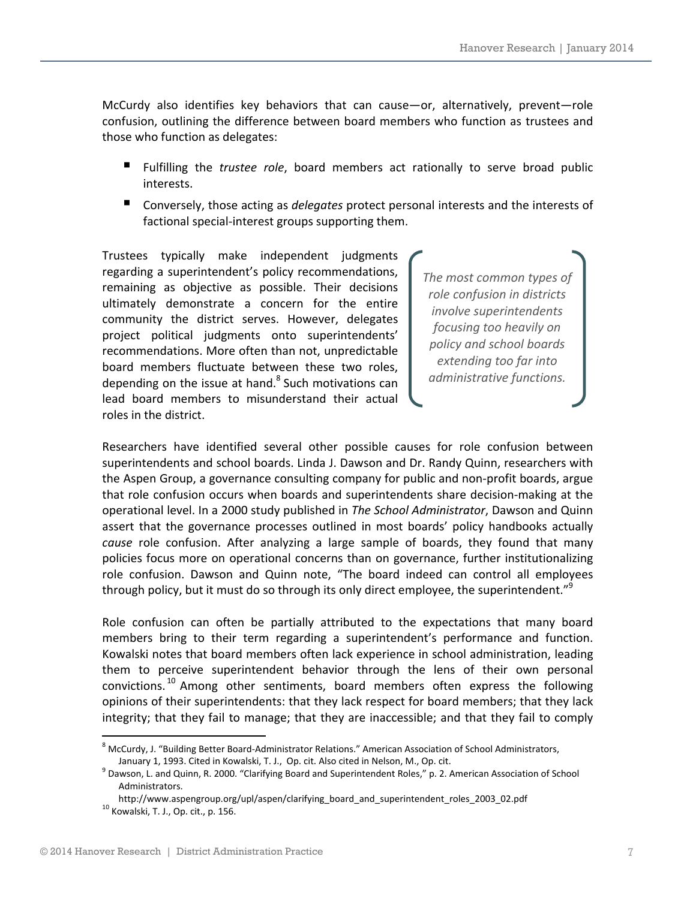McCurdy also identifies key behaviors that can cause—or, alternatively, prevent—role confusion, outlining the difference between board members who function as trustees and those who function as delegates:

- Fulfilling the *trustee role*, board members act rationally to serve broad public interests.
- Conversely, those acting as *delegates* protect personal interests and the interests of factional special‐interest groups supporting them.

Trustees typically make independent judgments regarding a superintendent's policy recommendations, remaining as objective as possible. Their decisions ultimately demonstrate a concern for the entire community the district serves. However, delegates project political judgments onto superintendents' recommendations. More often than not, unpredictable board members fluctuate between these two roles, depending on the issue at hand. $8$  Such motivations can lead board members to misunderstand their actual roles in the district.

*The most common types of role confusion in districts involve superintendents focusing too heavily on policy and school boards extending too far into administrative functions.*

Researchers have identified several other possible causes for role confusion between superintendents and school boards. Linda J. Dawson and Dr. Randy Quinn, researchers with the Aspen Group, a governance consulting company for public and non‐profit boards, argue that role confusion occurs when boards and superintendents share decision‐making at the operational level. In a 2000 study published in *The School Administrator*, Dawson and Quinn assert that the governance processes outlined in most boards' policy handbooks actually *cause* role confusion. After analyzing a large sample of boards, they found that many policies focus more on operational concerns than on governance, further institutionalizing role confusion. Dawson and Quinn note, "The board indeed can control all employees through policy, but it must do so through its only direct employee, the superintendent."<sup>9</sup>

Role confusion can often be partially attributed to the expectations that many board members bring to their term regarding a superintendent's performance and function. Kowalski notes that board members often lack experience in school administration, leading them to perceive superintendent behavior through the lens of their own personal convictions.<sup>10</sup> Among other sentiments, board members often express the following opinions of their superintendents: that they lack respect for board members; that they lack integrity; that they fail to manage; that they are inaccessible; and that they fail to comply

<sup>8</sup> McCurdy, J. "Building Better Board‐Administrator Relations." American Association of School Administrators, January 1, 1993. Cited in Kowalski, T. J., Op. cit. Also cited in Nelson, M., Op. cit.<br>9 Dawson, L. and Quinn, R. 2000. "Clarifying Board and Superintendent Roles," p. 2. American Association of School

Administrators.

http://www.aspengroup.org/upl/aspen/clarifying\_board\_and\_superintendent\_roles\_2003\_02.pdf <sup>10</sup> Kowalski, T. J., Op. cit., p. 156.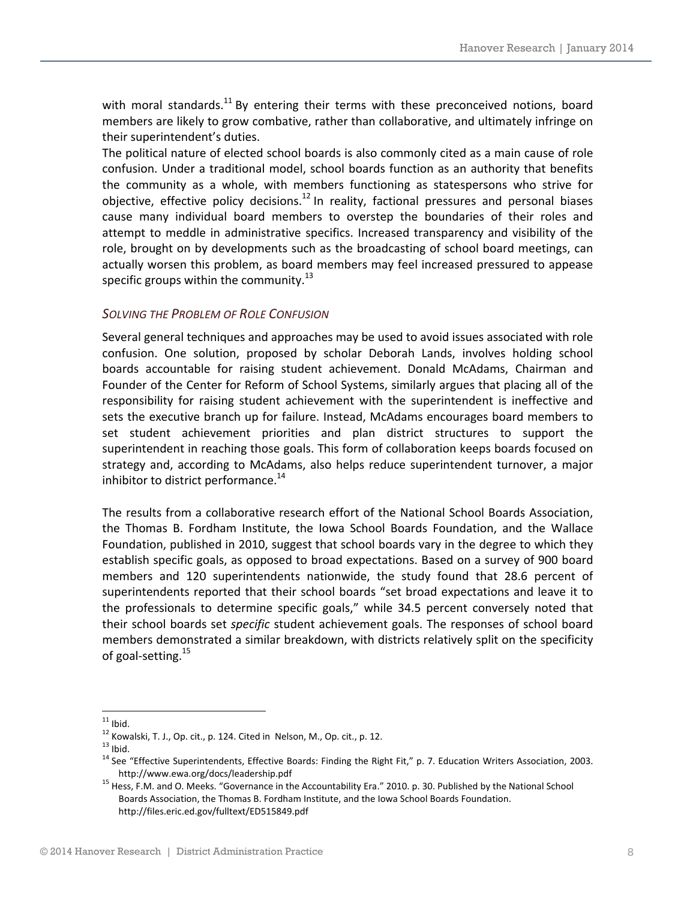with moral standards.<sup>11</sup> By entering their terms with these preconceived notions, board members are likely to grow combative, rather than collaborative, and ultimately infringe on their superintendent's duties.

The political nature of elected school boards is also commonly cited as a main cause of role confusion. Under a traditional model, school boards function as an authority that benefits the community as a whole, with members functioning as statespersons who strive for objective, effective policy decisions.<sup>12</sup> In reality, factional pressures and personal biases cause many individual board members to overstep the boundaries of their roles and attempt to meddle in administrative specifics. Increased transparency and visibility of the role, brought on by developments such as the broadcasting of school board meetings, can actually worsen this problem, as board members may feel increased pressured to appease specific groups within the community.<sup>13</sup>

#### *SOLVING THE PROBLEM OF ROLE CONFUSION*

Several general techniques and approaches may be used to avoid issues associated with role confusion. One solution, proposed by scholar Deborah Lands, involves holding school boards accountable for raising student achievement. Donald McAdams, Chairman and Founder of the Center for Reform of School Systems, similarly argues that placing all of the responsibility for raising student achievement with the superintendent is ineffective and sets the executive branch up for failure. Instead, McAdams encourages board members to set student achievement priorities and plan district structures to support the superintendent in reaching those goals. This form of collaboration keeps boards focused on strategy and, according to McAdams, also helps reduce superintendent turnover, a major inhibitor to district performance.<sup>14</sup>

The results from a collaborative research effort of the National School Boards Association, the Thomas B. Fordham Institute, the Iowa School Boards Foundation, and the Wallace Foundation, published in 2010, suggest that school boards vary in the degree to which they establish specific goals, as opposed to broad expectations. Based on a survey of 900 board members and 120 superintendents nationwide, the study found that 28.6 percent of superintendents reported that their school boards "set broad expectations and leave it to the professionals to determine specific goals," while 34.5 percent conversely noted that their school boards set *specific* student achievement goals. The responses of school board members demonstrated a similar breakdown, with districts relatively split on the specificity of goal-setting.<sup>15</sup>

<sup>&</sup>lt;sup>11</sup> Ibid.<br><sup>12</sup> Kowalski, T. J., Op. cit., p. 124. Cited in Nelson, M., Op. cit., p. 12.<br><sup>13</sup> Ibid. 14 See "Effective Superintendents, Effective Boards: Finding the Right Fit," p. 7. Education Writers Association, 2003.

http://www.ewa.org/docs/leadership.pdf<br>
<sup>15</sup> Hess, F.M. and O. Meeks. "Governance in the Accountability Era." 2010. p. 30. Published by the National School Boards Association, the Thomas B. Fordham Institute, and the Iowa School Boards Foundation. http://files.eric.ed.gov/fulltext/ED515849.pdf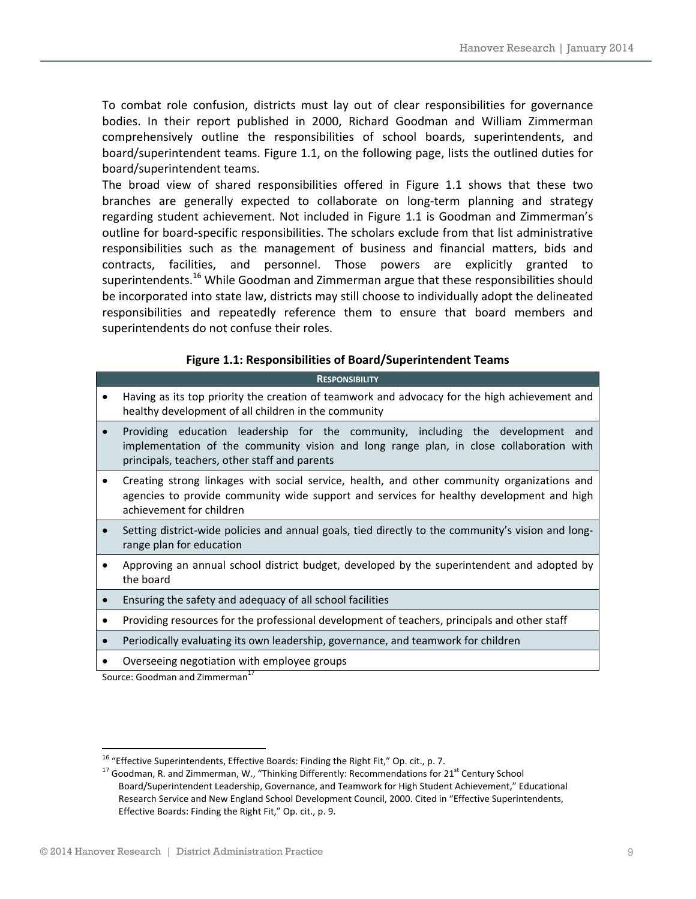To combat role confusion, districts must lay out of clear responsibilities for governance bodies. In their report published in 2000, Richard Goodman and William Zimmerman comprehensively outline the responsibilities of school boards, superintendents, and board/superintendent teams. Figure 1.1, on the following page, lists the outlined duties for board/superintendent teams.

The broad view of shared responsibilities offered in Figure 1.1 shows that these two branches are generally expected to collaborate on long‐term planning and strategy regarding student achievement. Not included in Figure 1.1 is Goodman and Zimmerman's outline for board‐specific responsibilities. The scholars exclude from that list administrative responsibilities such as the management of business and financial matters, bids and contracts, facilities, and personnel. Those powers are explicitly granted to superintendents.<sup>16</sup> While Goodman and Zimmerman argue that these responsibilities should be incorporated into state law, districts may still choose to individually adopt the delineated responsibilities and repeatedly reference them to ensure that board members and superintendents do not confuse their roles.

#### **Figure 1.1: Responsibilities of Board/Superintendent Teams**

|           | <b>RESPONSIBILITY</b>                                                                                                                                                                                                       |  |  |  |  |  |  |  |
|-----------|-----------------------------------------------------------------------------------------------------------------------------------------------------------------------------------------------------------------------------|--|--|--|--|--|--|--|
|           | Having as its top priority the creation of teamwork and advocacy for the high achievement and<br>healthy development of all children in the community                                                                       |  |  |  |  |  |  |  |
| $\bullet$ | Providing education leadership for the community, including the development and<br>implementation of the community vision and long range plan, in close collaboration with<br>principals, teachers, other staff and parents |  |  |  |  |  |  |  |
| $\bullet$ | Creating strong linkages with social service, health, and other community organizations and<br>agencies to provide community wide support and services for healthy development and high<br>achievement for children         |  |  |  |  |  |  |  |
| $\bullet$ | Setting district-wide policies and annual goals, tied directly to the community's vision and long-<br>range plan for education                                                                                              |  |  |  |  |  |  |  |
| $\bullet$ | Approving an annual school district budget, developed by the superintendent and adopted by<br>the board                                                                                                                     |  |  |  |  |  |  |  |
|           | Ensuring the safety and adequacy of all school facilities                                                                                                                                                                   |  |  |  |  |  |  |  |
| $\bullet$ | Providing resources for the professional development of teachers, principals and other staff                                                                                                                                |  |  |  |  |  |  |  |
|           | Periodically evaluating its own leadership, governance, and teamwork for children                                                                                                                                           |  |  |  |  |  |  |  |

Overseeing negotiation with employee groups

Source: Goodman and Zimmerman<sup>17</sup>

<sup>&</sup>lt;sup>16</sup> "Effective Superintendents, Effective Boards: Finding the Right Fit," Op. cit., p. 7.<br><sup>17</sup> Goodman, R. and Zimmerman, W., "Thinking Differently: Recommendations for 21<sup>st</sup> Century School Board/Superintendent Leadership, Governance, and Teamwork for High Student Achievement," Educational Research Service and New England School Development Council, 2000. Cited in "Effective Superintendents, Effective Boards: Finding the Right Fit," Op. cit., p. 9.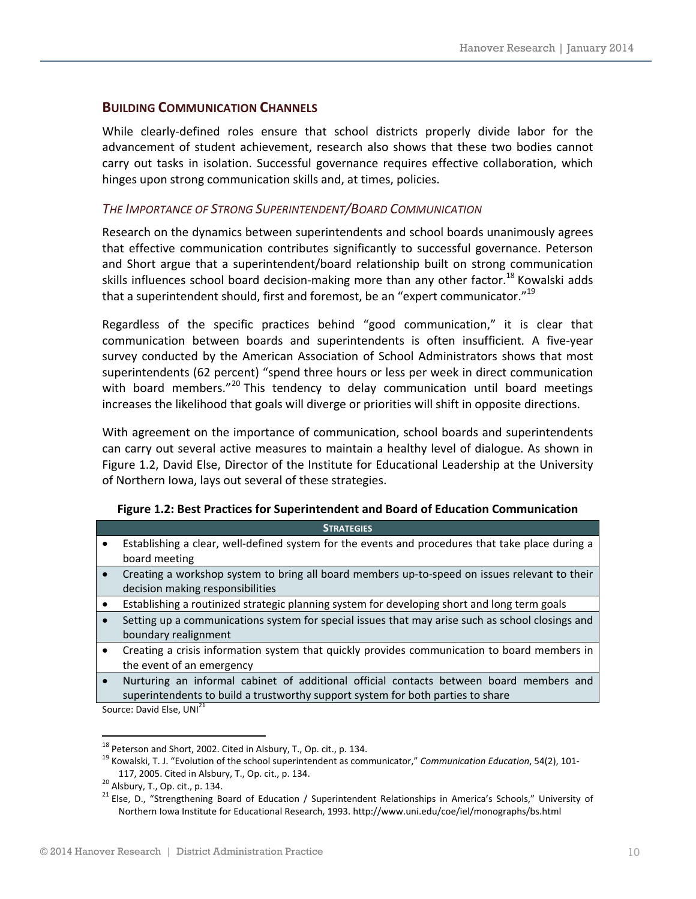#### **BUILDING COMMUNICATION CHANNELS**

While clearly-defined roles ensure that school districts properly divide labor for the advancement of student achievement, research also shows that these two bodies cannot carry out tasks in isolation. Successful governance requires effective collaboration, which hinges upon strong communication skills and, at times, policies.

#### *THE IMPORTANCE OF STRONG SUPERINTENDENT/BOARD COMMUNICATION*

Research on the dynamics between superintendents and school boards unanimously agrees that effective communication contributes significantly to successful governance. Peterson and Short argue that a superintendent/board relationship built on strong communication skills influences school board decision-making more than any other factor.<sup>18</sup> Kowalski adds that a superintendent should, first and foremost, be an "expert communicator."<sup>19</sup>

Regardless of the specific practices behind "good communication," it is clear that communication between boards and superintendents is often insufficient*.* A five‐year survey conducted by the American Association of School Administrators shows that most superintendents (62 percent) "spend three hours or less per week in direct communication with board members."<sup>20</sup> This tendency to delay communication until board meetings increases the likelihood that goals will diverge or priorities will shift in opposite directions.

With agreement on the importance of communication, school boards and superintendents can carry out several active measures to maintain a healthy level of dialogue. As shown in Figure 1.2, David Else, Director of the Institute for Educational Leadership at the University of Northern Iowa, lays out several of these strategies.

|           | <b>STRATEGIES</b>                                                                                |  |  |  |  |  |  |
|-----------|--------------------------------------------------------------------------------------------------|--|--|--|--|--|--|
|           | Establishing a clear, well-defined system for the events and procedures that take place during a |  |  |  |  |  |  |
|           | board meeting                                                                                    |  |  |  |  |  |  |
| $\bullet$ | Creating a workshop system to bring all board members up-to-speed on issues relevant to their    |  |  |  |  |  |  |
|           | decision making responsibilities                                                                 |  |  |  |  |  |  |
|           | Establishing a routinized strategic planning system for developing short and long term goals     |  |  |  |  |  |  |
|           | Setting up a communications system for special issues that may arise such as school closings and |  |  |  |  |  |  |
|           | boundary realignment                                                                             |  |  |  |  |  |  |
| $\bullet$ | Creating a crisis information system that quickly provides communication to board members in     |  |  |  |  |  |  |
|           | the event of an emergency                                                                        |  |  |  |  |  |  |
| $\bullet$ | Nurturing an informal cabinet of additional official contacts between board members and          |  |  |  |  |  |  |
|           | superintendents to build a trustworthy support system for both parties to share                  |  |  |  |  |  |  |
|           | Source: David Else, UNI <sup>21</sup>                                                            |  |  |  |  |  |  |

#### **Figure 1.2: Best Practices for Superintendent and Board of Education Communication**

<sup>&</sup>lt;sup>18</sup> Peterson and Short, 2002. Cited in Alsbury, T., Op. cit., p. 134.<br><sup>19</sup> Kowalski, T. J. "Evolution of the school superintendent as communicator," *Communication Education*, 54(2), 101-<br>117, 2005. Cited in Alsbury, T.,

<sup>&</sup>lt;sup>20</sup> Alsbury, T., Op. cit., p. 134. <sup>20</sup> Alsbury, T., Op. cit., p. 134. 20 Alsbury, T., Op. cit., p. 134. 21 Else, D., "Strengthening Board of Education / Superintendent Relationships in America's Schools," Universi Northern Iowa Institute for Educational Research, 1993. http://www.uni.edu/coe/iel/monographs/bs.html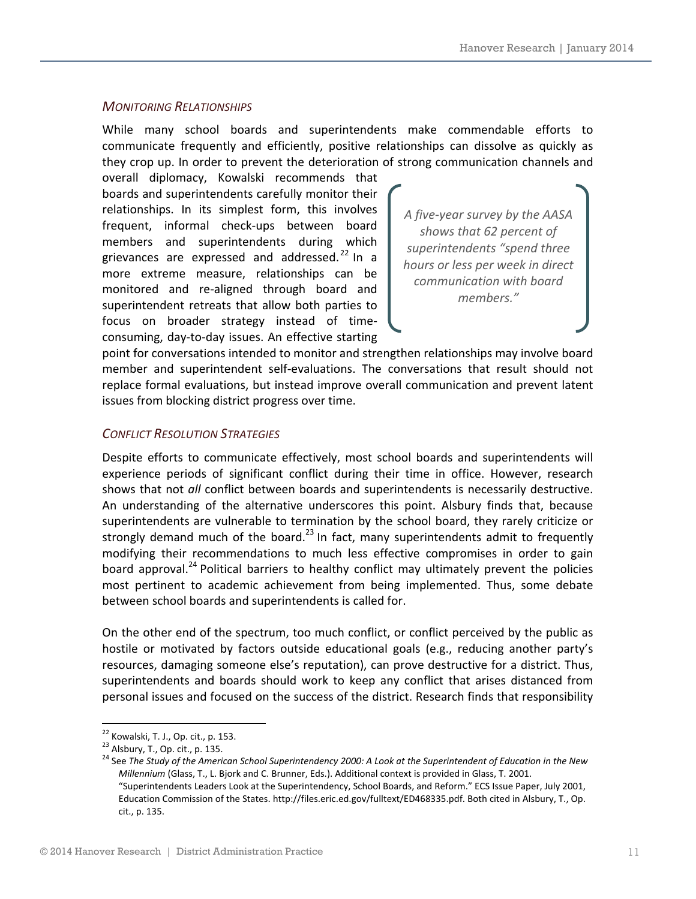#### *MONITORING RELATIONSHIPS*

While many school boards and superintendents make commendable efforts to communicate frequently and efficiently, positive relationships can dissolve as quickly as they crop up. In order to prevent the deterioration of strong communication channels and

overall diplomacy, Kowalski recommends that boards and superintendents carefully monitor their relationships. In its simplest form, this involves frequent, informal check‐ups between board members and superintendents during which grievances are expressed and addressed.<sup>22</sup> In a more extreme measure, relationships can be monitored and re‐aligned through board and superintendent retreats that allow both parties to focus on broader strategy instead of time‐ consuming, day‐to‐day issues. An effective starting

*A five‐year survey by the AASA shows that 62 percent of superintendents "spend three hours or less per week in direct communication with board members."*

point for conversations intended to monitor and strengthen relationships may involve board member and superintendent self‐evaluations. The conversations that result should not replace formal evaluations, but instead improve overall communication and prevent latent issues from blocking district progress over time.

#### *CONFLICT RESOLUTION STRATEGIES*

Despite efforts to communicate effectively, most school boards and superintendents will experience periods of significant conflict during their time in office. However, research shows that not *all* conflict between boards and superintendents is necessarily destructive. An understanding of the alternative underscores this point. Alsbury finds that, because superintendents are vulnerable to termination by the school board, they rarely criticize or strongly demand much of the board.<sup>23</sup> In fact, many superintendents admit to frequently modifying their recommendations to much less effective compromises in order to gain board approval.<sup>24</sup> Political barriers to healthy conflict may ultimately prevent the policies most pertinent to academic achievement from being implemented. Thus, some debate between school boards and superintendents is called for.

On the other end of the spectrum, too much conflict, or conflict perceived by the public as hostile or motivated by factors outside educational goals (e.g., reducing another party's resources, damaging someone else's reputation), can prove destructive for a district. Thus, superintendents and boards should work to keep any conflict that arises distanced from personal issues and focused on the success of the district. Research finds that responsibility

<u> 1989 - Johann Barn, mars eta bainar eta industrial eta industrial eta industrial eta industrial eta industria</u>

<sup>&</sup>lt;sup>22</sup> Kowalski, T. J., Op. cit., p. 153.<br><sup>23</sup> Alsbury, T., Op. cit., p. 135.<br><sup>24</sup> See The Study of the American School Superintendency 2000: A Look at the Superintendent of Education in the New *Millennium* (Glass, T., L. Bjork and C. Brunner, Eds.). Additional context is provided in Glass, T. 2001. "Superintendents Leaders Look at the Superintendency, School Boards, and Reform." ECS Issue Paper, July 2001, Education Commission of the States. http://files.eric.ed.gov/fulltext/ED468335.pdf. Both cited in Alsbury, T., Op. cit., p. 135.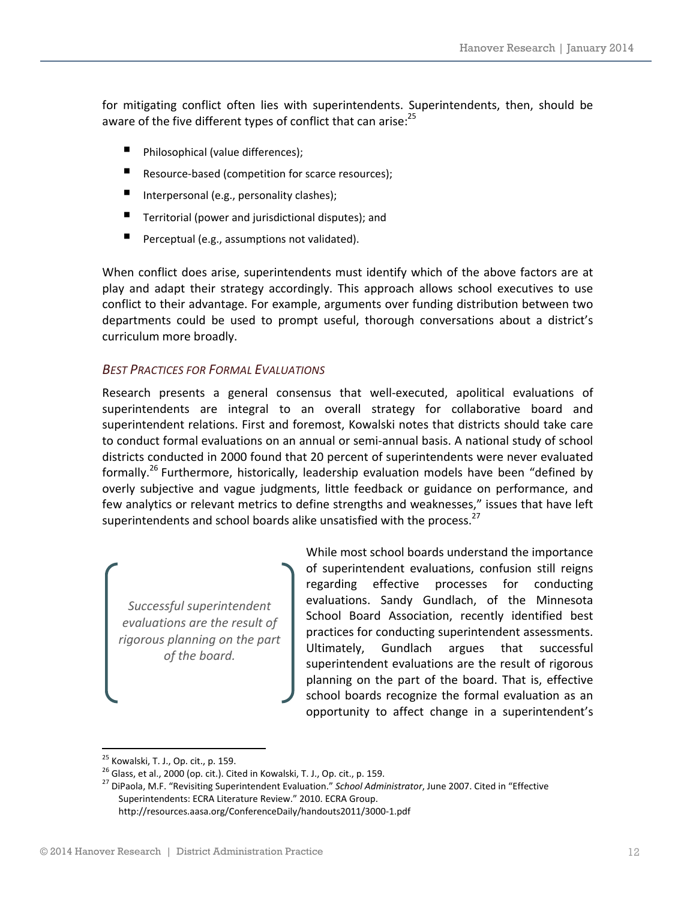for mitigating conflict often lies with superintendents. Superintendents, then, should be aware of the five different types of conflict that can arise:<sup>25</sup>

- Philosophical (value differences);
- Resource-based (competition for scarce resources);
- Interpersonal (e.g., personality clashes);
- $\blacksquare$  Territorial (power and jurisdictional disputes); and
- Perceptual (e.g., assumptions not validated).

When conflict does arise, superintendents must identify which of the above factors are at play and adapt their strategy accordingly. This approach allows school executives to use conflict to their advantage. For example, arguments over funding distribution between two departments could be used to prompt useful, thorough conversations about a district's curriculum more broadly.

#### *BEST PRACTICES FOR FORMAL EVALUATIONS*

Research presents a general consensus that well-executed, apolitical evaluations of superintendents are integral to an overall strategy for collaborative board and superintendent relations. First and foremost, Kowalski notes that districts should take care to conduct formal evaluations on an annual or semi‐annual basis. A national study of school districts conducted in 2000 found that 20 percent of superintendents were never evaluated formally.<sup>26</sup> Furthermore, historically, leadership evaluation models have been "defined by overly subjective and vague judgments, little feedback or guidance on performance, and few analytics or relevant metrics to define strengths and weaknesses," issues that have left superintendents and school boards alike unsatisfied with the process.<sup>27</sup>

*Successful superintendent evaluations are the result of rigorous planning on the part of the board.*

While most school boards understand the importance of superintendent evaluations, confusion still reigns regarding effective processes for conducting evaluations. Sandy Gundlach, of the Minnesota School Board Association, recently identified best practices for conducting superintendent assessments. Ultimately, Gundlach argues that successful superintendent evaluations are the result of rigorous planning on the part of the board. That is, effective school boards recognize the formal evaluation as an opportunity to affect change in a superintendent's

<sup>&</sup>lt;sup>25</sup> Kowalski, T. J., Op. cit., p. 159.<br><sup>26</sup> Glass, et al., 2000 (op. cit.). Cited in Kowalski, T. J., Op. cit., p. 159.<br><sup>27</sup> DiPaola, M.F. "Revisiting Superintendent Evaluation." *School Administrator*, June 2007. Cited i Superintendents: ECRA Literature Review." 2010. ECRA Group. http://resources.aasa.org/ConferenceDaily/handouts2011/3000‐1.pdf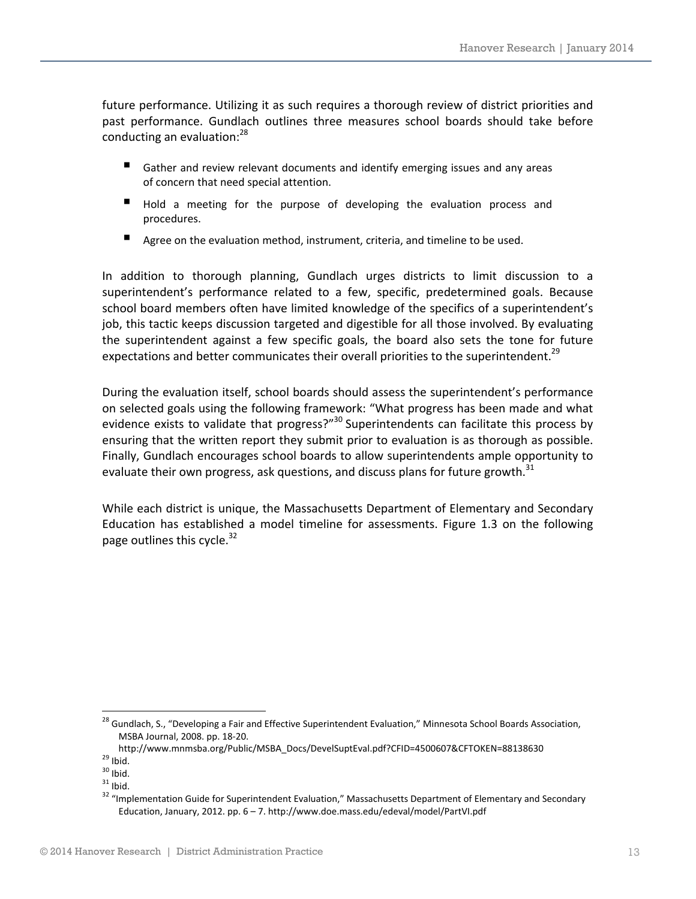future performance. Utilizing it as such requires a thorough review of district priorities and past performance. Gundlach outlines three measures school boards should take before conducting an evaluation:<sup>28</sup>

- Gather and review relevant documents and identify emerging issues and any areas of concern that need special attention.
- Hold a meeting for the purpose of developing the evaluation process and procedures.
- Agree on the evaluation method, instrument, criteria, and timeline to be used.

In addition to thorough planning, Gundlach urges districts to limit discussion to a superintendent's performance related to a few, specific, predetermined goals. Because school board members often have limited knowledge of the specifics of a superintendent's job, this tactic keeps discussion targeted and digestible for all those involved. By evaluating the superintendent against a few specific goals, the board also sets the tone for future expectations and better communicates their overall priorities to the superintendent.<sup>29</sup>

During the evaluation itself, school boards should assess the superintendent's performance on selected goals using the following framework: "What progress has been made and what evidence exists to validate that progress?"<sup>30</sup> Superintendents can facilitate this process by ensuring that the written report they submit prior to evaluation is as thorough as possible. Finally, Gundlach encourages school boards to allow superintendents ample opportunity to evaluate their own progress, ask questions, and discuss plans for future growth.<sup>31</sup>

While each district is unique, the Massachusetts Department of Elementary and Secondary Education has established a model timeline for assessments. Figure 1.3 on the following page outlines this cycle. $32$ 

<sup>&</sup>lt;sup>28</sup> Gundlach, S., "Developing a Fair and Effective Superintendent Evaluation," Minnesota School Boards Association, MSBA Journal, 2008. pp. 18‐20.

http://www.mnmsba.org/Public/MSBA\_Docs/DevelSuptEval.pdf?CFID=4500607&CFTOKEN=88138630<br><sup>29</sup> Ibid.<br><sup>30</sup> Ibid.<br><sup>31</sup> Ibid. 31 Ibid.<br><sup>32</sup> "Implementation Guide for Superintendent Evaluation," Massachusetts Department of Elemen Education, January, 2012. pp. 6 – 7. http://www.doe.mass.edu/edeval/model/PartVI.pdf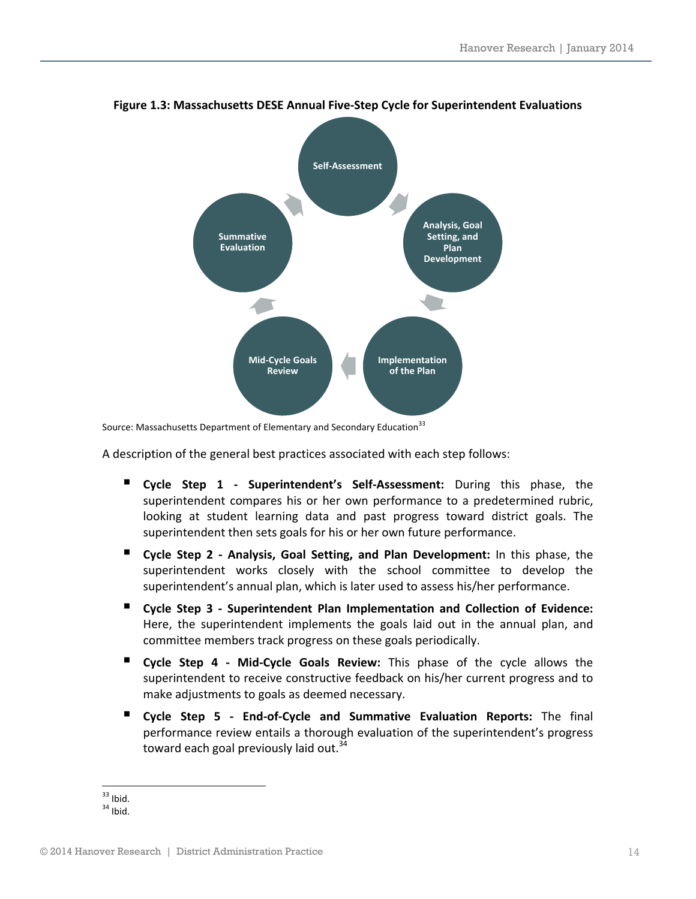

#### **Figure 1.3: Massachusetts DESE Annual Five‐Step Cycle for Superintendent Evaluations**

Source: Massachusetts Department of Elementary and Secondary Education<sup>33</sup>

A description of the general best practices associated with each step follows:

- **Cycle Step 1 ‐ Superintendent's Self‐Assessment:** During this phase, the superintendent compares his or her own performance to a predetermined rubric, looking at student learning data and past progress toward district goals. The superintendent then sets goals for his or her own future performance.
- **Cycle Step 2 ‐ Analysis, Goal Setting, and Plan Development:** In this phase, the superintendent works closely with the school committee to develop the superintendent's annual plan, which is later used to assess his/her performance.
- **Cycle Step 3 ‐ Superintendent Plan Implementation and Collection of Evidence:** Here, the superintendent implements the goals laid out in the annual plan, and committee members track progress on these goals periodically.
- **Cycle Step 4 ‐ Mid‐Cycle Goals Review:** This phase of the cycle allows the superintendent to receive constructive feedback on his/her current progress and to make adjustments to goals as deemed necessary.
- **Cycle Step 5 ‐ End‐of‐Cycle and Summative Evaluation Reports:** The final performance review entails a thorough evaluation of the superintendent's progress toward each goal previously laid out. $34$

  $33$  Ibid.<br> $34$  Ibid.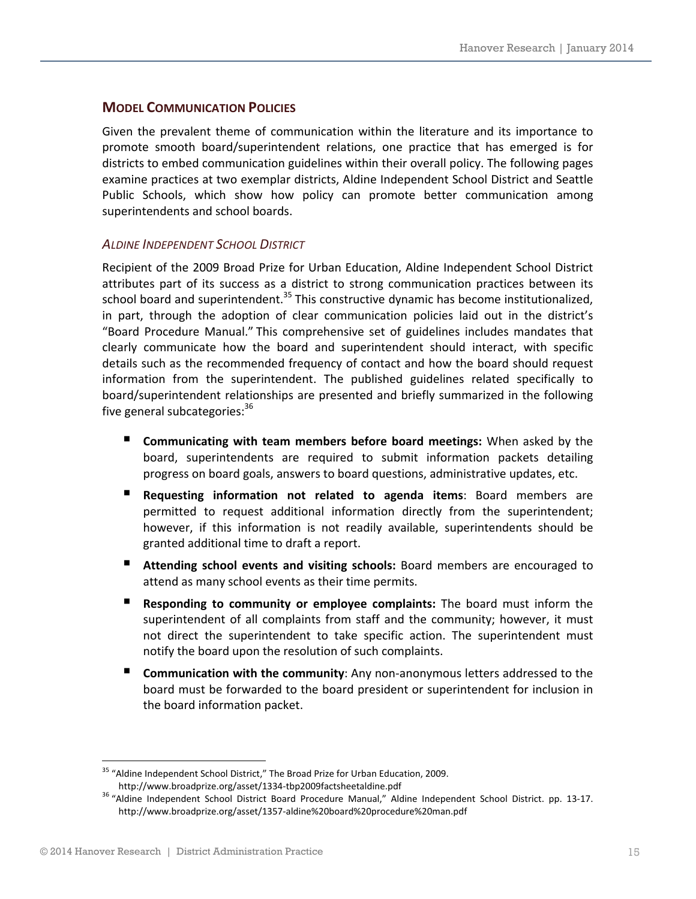#### **MODEL COMMUNICATION POLICIES**

Given the prevalent theme of communication within the literature and its importance to promote smooth board/superintendent relations, one practice that has emerged is for districts to embed communication guidelines within their overall policy. The following pages examine practices at two exemplar districts, Aldine Independent School District and Seattle Public Schools, which show how policy can promote better communication among superintendents and school boards.

#### *ALDINE INDEPENDENT SCHOOL DISTRICT*

Recipient of the 2009 Broad Prize for Urban Education, Aldine Independent School District attributes part of its success as a district to strong communication practices between its school board and superintendent.<sup>35</sup> This constructive dynamic has become institutionalized, in part, through the adoption of clear communication policies laid out in the district's "Board Procedure Manual." This comprehensive set of guidelines includes mandates that clearly communicate how the board and superintendent should interact, with specific details such as the recommended frequency of contact and how the board should request information from the superintendent. The published guidelines related specifically to board/superintendent relationships are presented and briefly summarized in the following five general subcategories:<sup>36</sup>

- **Communicating with team members before board meetings:** When asked by the board, superintendents are required to submit information packets detailing progress on board goals, answers to board questions, administrative updates, etc.
- **Requesting information not related to agenda items**: Board members are permitted to request additional information directly from the superintendent; however, if this information is not readily available, superintendents should be granted additional time to draft a report.
- **Attending school events and visiting schools:** Board members are encouraged to attend as many school events as their time permits.
- **Responding to community or employee complaints:** The board must inform the superintendent of all complaints from staff and the community; however, it must not direct the superintendent to take specific action. The superintendent must notify the board upon the resolution of such complaints.
- **Communication with the community**: Any non-anonymous letters addressed to the board must be forwarded to the board president or superintendent for inclusion in the board information packet.

<u> 1989 - Johann Barn, mars eta bainar eta industrial eta industrial eta industrial eta industrial eta industria</u>

<sup>&</sup>lt;sup>35</sup> "Aldine Independent School District," The Broad Prize for Urban Education, 2009.

http://www.broadprize.org/asset/1334‐tbp2009factsheetaldine.pdf <sup>36</sup> "Aldine Independent School District Board Procedure Manual," Aldine Independent School District. pp. <sup>13</sup>‐17. http://www.broadprize.org/asset/1357‐aldine%20board%20procedure%20man.pdf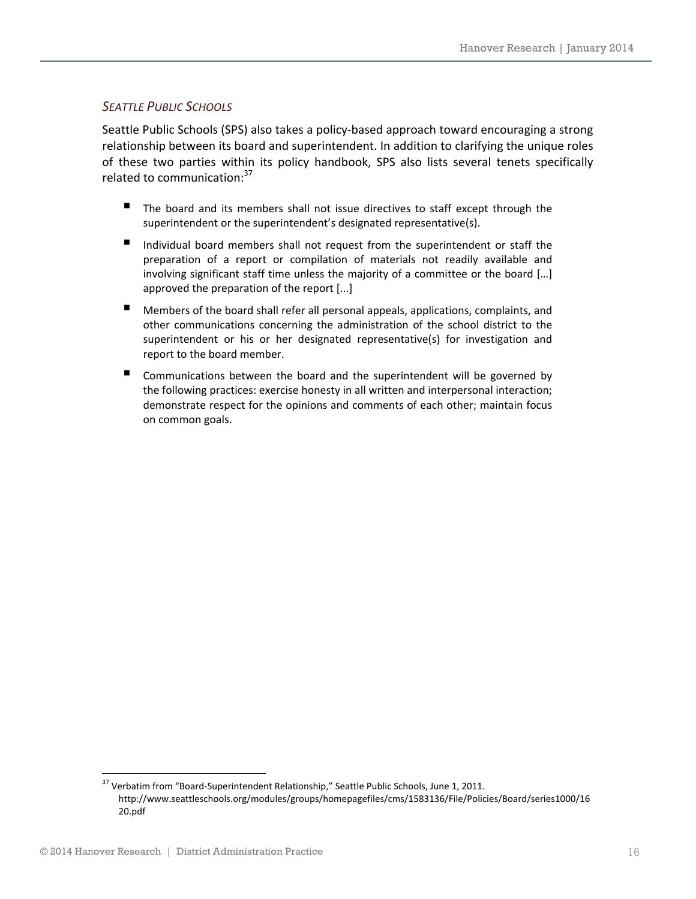#### *SEATTLE PUBLIC SCHOOLS*

Seattle Public Schools (SPS) also takes a policy‐based approach toward encouraging a strong relationship between its board and superintendent. In addition to clarifying the unique roles of these two parties within its policy handbook, SPS also lists several tenets specifically related to communication:<sup>37</sup>

- The board and its members shall not issue directives to staff except through the superintendent or the superintendent's designated representative(s).
- Individual board members shall not request from the superintendent or staff the preparation of a report or compilation of materials not readily available and involving significant staff time unless the majority of a committee or the board […] approved the preparation of the report [...]
- Members of the board shall refer all personal appeals, applications, complaints, and other communications concerning the administration of the school district to the superintendent or his or her designated representative(s) for investigation and report to the board member.
- Communications between the board and the superintendent will be governed by the following practices: exercise honesty in all written and interpersonal interaction; demonstrate respect for the opinions and comments of each other; maintain focus on common goals.

<sup>&</sup>lt;sup>37</sup> Verbatim from "Board-Superintendent Relationship," Seattle Public Schools, June 1, 2011. http://www.seattleschools.org/modules/groups/homepagefiles/cms/1583136/File/Policies/Board/series1000/16 20.pdf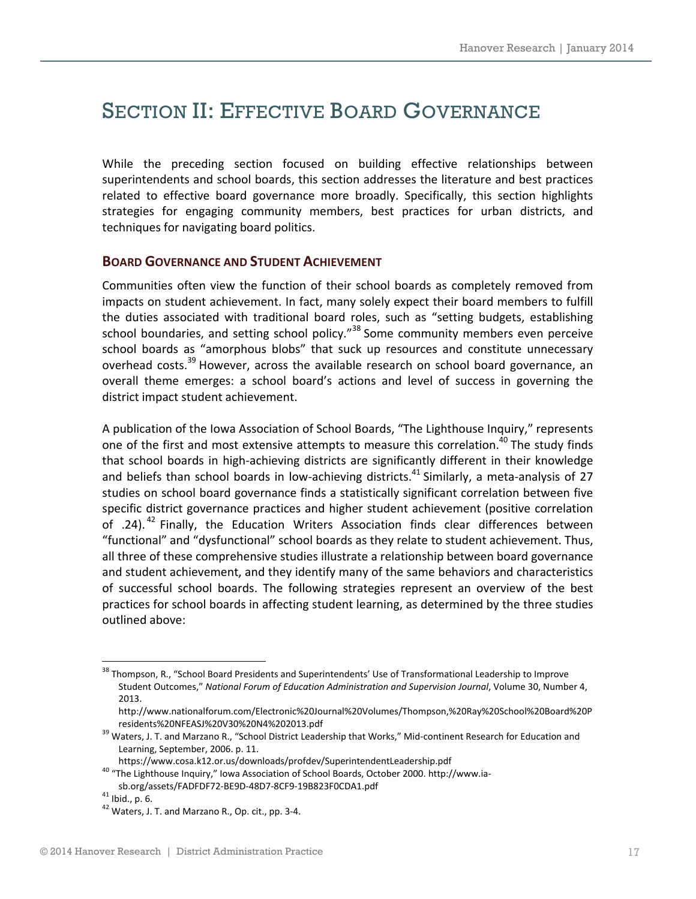### SECTION II: EFFECTIVE BOARD GOVERNANCE

While the preceding section focused on building effective relationships between superintendents and school boards, this section addresses the literature and best practices related to effective board governance more broadly. Specifically, this section highlights strategies for engaging community members, best practices for urban districts, and techniques for navigating board politics.

#### **BOARD GOVERNANCE AND STUDENT ACHIEVEMENT**

Communities often view the function of their school boards as completely removed from impacts on student achievement. In fact, many solely expect their board members to fulfill the duties associated with traditional board roles, such as "setting budgets, establishing school boundaries, and setting school policy."<sup>38</sup> Some community members even perceive school boards as "amorphous blobs" that suck up resources and constitute unnecessary overhead costs.<sup>39</sup> However, across the available research on school board governance, an overall theme emerges: a school board's actions and level of success in governing the district impact student achievement.

A publication of the Iowa Association of School Boards, "The Lighthouse Inquiry," represents one of the first and most extensive attempts to measure this correlation.<sup>40</sup> The study finds that school boards in high‐achieving districts are significantly different in their knowledge and beliefs than school boards in low-achieving districts.<sup>41</sup> Similarly, a meta-analysis of 27 studies on school board governance finds a statistically significant correlation between five specific district governance practices and higher student achievement (positive correlation of .24).<sup>42</sup> Finally, the Education Writers Association finds clear differences between "functional" and "dysfunctional" school boards as they relate to student achievement. Thus, all three of these comprehensive studies illustrate a relationship between board governance and student achievement, and they identify many of the same behaviors and characteristics of successful school boards. The following strategies represent an overview of the best practices for school boards in affecting student learning, as determined by the three studies outlined above:

<sup>&</sup>lt;sup>38</sup> Thompson, R., "School Board Presidents and Superintendents' Use of Transformational Leadership to Improve Student Outcomes," *National Forum of Education Administration and Supervision Journal*, Volume 30, Number 4, 2013.

http://www.nationalforum.com/Electronic%20Journal%20Volumes/Thompson,%20Ray%20School%20Board%20P residents%20NFEASJ%20V30%20N4%202013.pdf<br><sup>39</sup> Waters, J. T. and Marzano R., "School District Leadership that Works," Mid-continent Research for Education and

Learning, September, 2006. p. 11.

https://www.cosa.k12.or.us/downloads/profdev/SuperintendentLeadership.pdf<br><sup>40</sup> "The Lighthouse Inquiry," Iowa Association of School Boards, October 2000. http://www.iasb.org/assets/FADFDF72-BE9D-48D7-8CF9-19B823F0CDA1.pdf<br><sup>41</sup> Ibid., p. 6.<br><sup>42</sup> Waters, J. T. and Marzano R., Op. cit., pp. 3-4.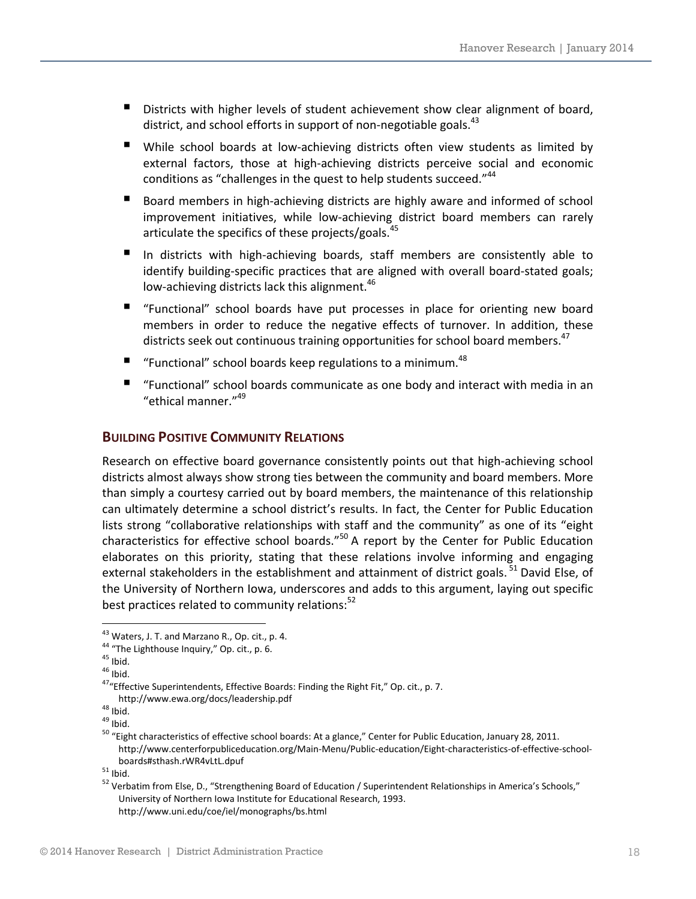- Districts with higher levels of student achievement show clear alignment of board, district, and school efforts in support of non-negotiable goals.<sup>43</sup>
- While school boards at low-achieving districts often view students as limited by external factors, those at high-achieving districts perceive social and economic conditions as "challenges in the quest to help students succeed."<sup>44</sup>
- Board members in high-achieving districts are highly aware and informed of school improvement initiatives, while low-achieving district board members can rarely articulate the specifics of these projects/goals.<sup>45</sup>
- In districts with high-achieving boards, staff members are consistently able to identify building-specific practices that are aligned with overall board-stated goals; low-achieving districts lack this alignment.<sup>46</sup>
- "Functional" school boards have put processes in place for orienting new board members in order to reduce the negative effects of turnover. In addition, these districts seek out continuous training opportunities for school board members.<sup>47</sup>
- F "Functional" school boards keep regulations to a minimum.<sup>48</sup>
- "Functional" school boards communicate as one body and interact with media in an "ethical manner."<sup>49</sup>

#### **BUILDING POSITIVE COMMUNITY RELATIONS**

Research on effective board governance consistently points out that high-achieving school districts almost always show strong ties between the community and board members. More than simply a courtesy carried out by board members, the maintenance of this relationship can ultimately determine a school district's results. In fact, the Center for Public Education lists strong "collaborative relationships with staff and the community" as one of its "eight characteristics for effective school boards."<sup>50</sup> A report by the Center for Public Education elaborates on this priority, stating that these relations involve informing and engaging external stakeholders in the establishment and attainment of district goals.<sup>51</sup> David Else, of the University of Northern Iowa, underscores and adds to this argument, laying out specific best practices related to community relations: $52$ 

<sup>&</sup>lt;sup>43</sup> Waters, J. T. and Marzano R., Op. cit., p. 4.<br><sup>44</sup> "The Lighthouse Inquiry," Op. cit., p. 6.<br><sup>45</sup> Ibid.<br><sup>47</sup> Effective Superintendents, Effective Boards: Finding the Right Fit," Op. cit., p. 7.

http://www.ewa.org/docs/leadership.pdf<br><sup>48</sup> Ibid.<br><sup>49</sup> Ibid.<br><sup>50</sup> "Eight characteristics of effective school boards: At a glance," Center for Public Education, January 28, 2011. http://www.centerforpubliceducation.org/Main‐Menu/Public‐education/Eight‐characteristics‐of‐effective‐school‐ boards#sthash.rWR4vLtL.dpuf<br>
<sup>51</sup> Ibid.<br>
<sup>52</sup> Verbatim from Else, D., "Strengthening Board of Education / Superintendent Relationships in America's Schools,"

University of Northern Iowa Institute for Educational Research, 1993. http://www.uni.edu/coe/iel/monographs/bs.html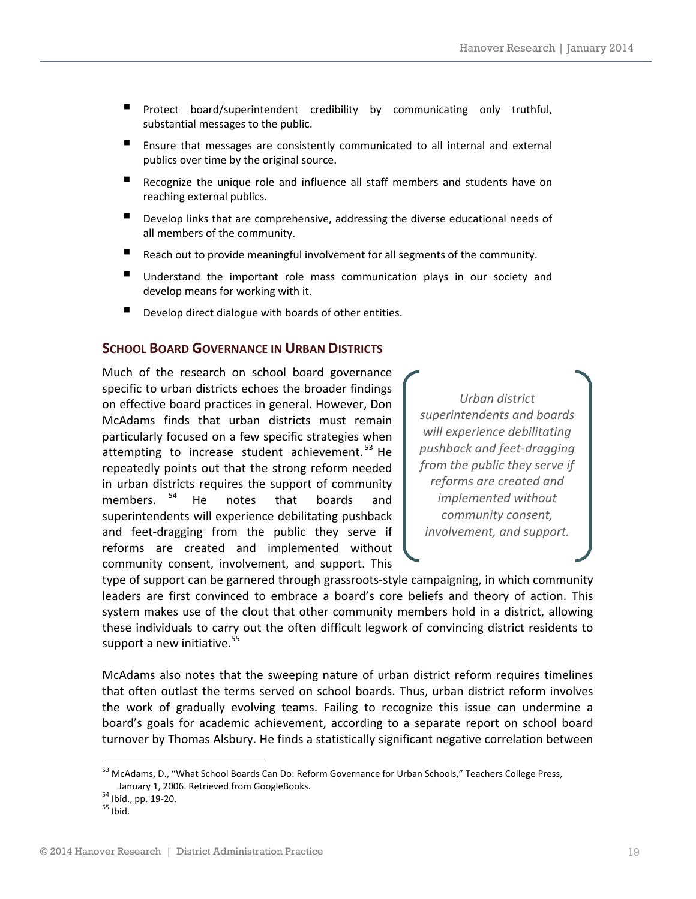- **P** Protect board/superintendent credibility by communicating only truthful, substantial messages to the public.
- Ensure that messages are consistently communicated to all internal and external publics over time by the original source.
- Recognize the unique role and influence all staff members and students have on reaching external publics.
- Develop links that are comprehensive, addressing the diverse educational needs of all members of the community.
- Reach out to provide meaningful involvement for all segments of the community.
- **Understand the important role mass communication plays in our society and** develop means for working with it.
- Develop direct dialogue with boards of other entities.

#### **SCHOOL BOARD GOVERNANCE IN URBAN DISTRICTS**

Much of the research on school board governance specific to urban districts echoes the broader findings on effective board practices in general. However, Don McAdams finds that urban districts must remain particularly focused on a few specific strategies when attempting to increase student achievement.<sup>53</sup> He repeatedly points out that the strong reform needed in urban districts requires the support of community members. <sup>54</sup> He notes that boards and superintendents will experience debilitating pushback and feet‐dragging from the public they serve if reforms are created and implemented without community consent, involvement, and support. This

*Urban district superintendents and boards will experience debilitating pushback and feet‐dragging from the public they serve if reforms are created and implemented without community consent, involvement, and support.* 

type of support can be garnered through grassroots‐style campaigning, in which community leaders are first convinced to embrace a board's core beliefs and theory of action. This system makes use of the clout that other community members hold in a district, allowing these individuals to carry out the often difficult legwork of convincing district residents to support a new initiative.<sup>55</sup>

McAdams also notes that the sweeping nature of urban district reform requires timelines that often outlast the terms served on school boards. Thus, urban district reform involves the work of gradually evolving teams. Failing to recognize this issue can undermine a board's goals for academic achievement, according to a separate report on school board turnover by Thomas Alsbury. He finds a statistically significant negative correlation between

<u> 1989 - Johann Barn, mars eta bainar eta industrial eta industrial eta industrial eta industrial eta industria</u>

<sup>53</sup> McAdams, D., "What School Boards Can Do: Reform Governance for Urban Schools," Teachers College Press, January 1, 2006. Retrieved from GoogleBooks.<br><sup>54</sup> Ibid., pp. 19-20.<br><sup>55</sup> Ibid.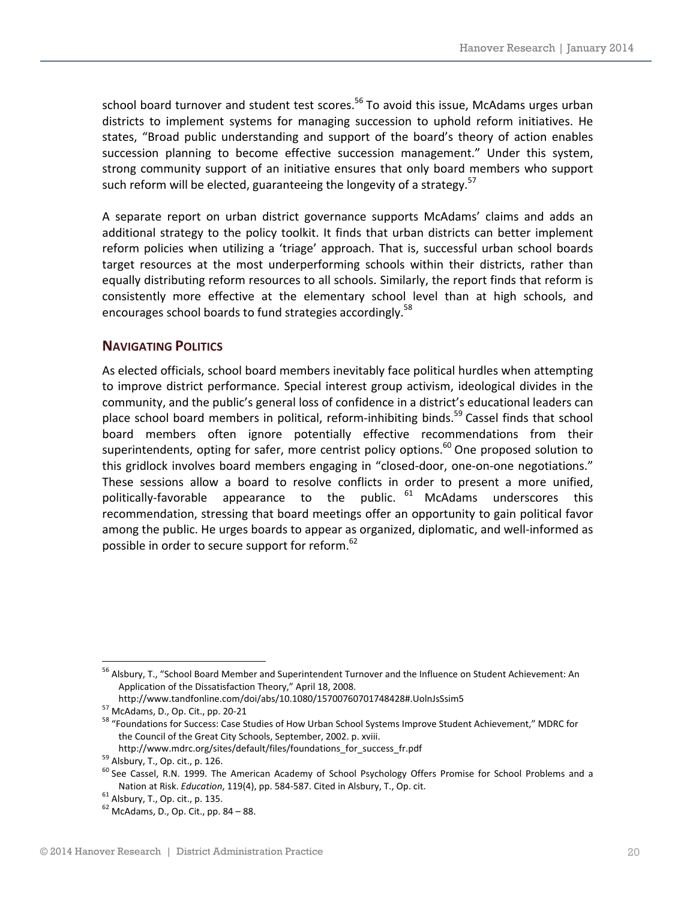school board turnover and student test scores.<sup>56</sup> To avoid this issue, McAdams urges urban districts to implement systems for managing succession to uphold reform initiatives. He states, "Broad public understanding and support of the board's theory of action enables succession planning to become effective succession management." Under this system, strong community support of an initiative ensures that only board members who support such reform will be elected, guaranteeing the longevity of a strategy.<sup>57</sup>

A separate report on urban district governance supports McAdams' claims and adds an additional strategy to the policy toolkit. It finds that urban districts can better implement reform policies when utilizing a 'triage' approach. That is, successful urban school boards target resources at the most underperforming schools within their districts, rather than equally distributing reform resources to all schools. Similarly, the report finds that reform is consistently more effective at the elementary school level than at high schools, and encourages school boards to fund strategies accordingly.<sup>58</sup>

#### **NAVIGATING POLITICS**

As elected officials, school board members inevitably face political hurdles when attempting to improve district performance. Special interest group activism, ideological divides in the community, and the public's general loss of confidence in a district's educational leaders can place school board members in political, reform-inhibiting binds.<sup>59</sup> Cassel finds that school board members often ignore potentially effective recommendations from their superintendents, opting for safer, more centrist policy options.<sup>60</sup> One proposed solution to this gridlock involves board members engaging in "closed-door, one-on-one negotiations." These sessions allow a board to resolve conflicts in order to present a more unified, politically-favorable appearance to the public. <sup>61</sup> McAdams underscores this recommendation, stressing that board meetings offer an opportunity to gain political favor among the public. He urges boards to appear as organized, diplomatic, and well-informed as possible in order to secure support for reform.<sup>62</sup>

<sup>56</sup> Alsbury, T., "School Board Member and Superintendent Turnover and the Influence on Student Achievement: An Application of the Dissatisfaction Theory," April 18, 2008.<br>http://www.tandfonline.com/doi/abs/10.1080/15700760701748428#.UolnJsSsim5

 $\frac{57}{10}$  McAdams, D., Op. Cit., pp. 20-21<br> $\frac{1}{20}$  McAdams, D., Op. Cit., pp. 20-21  $\frac{1}{20}$  Foundation School Systems Improve Student Achievement," MDRC for the Council of the Great City Schools, September, 2002. p. xviii.

http://www.mdrc.org/sites/default/files/foundations\_for\_success\_fr.pdf<br><sup>59</sup> Alsbury, T., Op. cit., p. 126.<br><sup>60</sup> See Cassel, R.N. 1999. The American Academy of School Psychology Offers Promise for School Problems and a Nation at Risk. *Education*, 119(4), pp. 584-587. Cited in Alsbury, T., Op. cit. <sup>61</sup> Alsbury, T., Op. cit., p. 135. <sup>62</sup> McAdams, D., Op. Cit., pp. 84 – 88.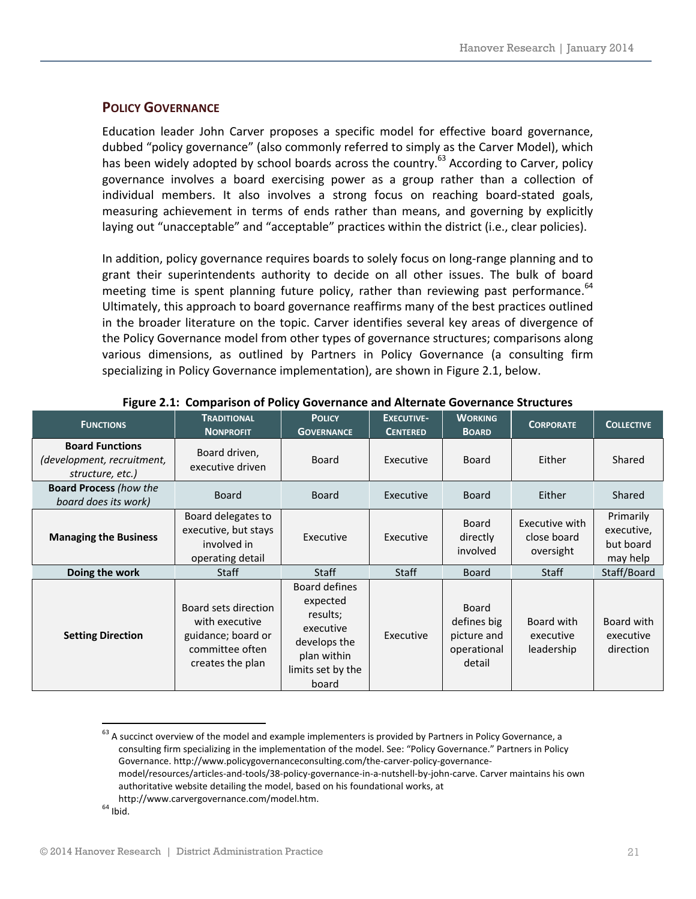#### **POLICY GOVERNANCE**

Education leader John Carver proposes a specific model for effective board governance, dubbed "policy governance" (also commonly referred to simply as the Carver Model), which has been widely adopted by school boards across the country.<sup>63</sup> According to Carver, policy governance involves a board exercising power as a group rather than a collection of individual members. It also involves a strong focus on reaching board-stated goals, measuring achievement in terms of ends rather than means, and governing by explicitly laying out "unacceptable" and "acceptable" practices within the district (i.e., clear policies).

In addition, policy governance requires boards to solely focus on long-range planning and to grant their superintendents authority to decide on all other issues. The bulk of board meeting time is spent planning future policy, rather than reviewing past performance. $64$ Ultimately, this approach to board governance reaffirms many of the best practices outlined in the broader literature on the topic. Carver identifies several key areas of divergence of the Policy Governance model from other types of governance structures; comparisons along various dimensions, as outlined by Partners in Policy Governance (a consulting firm specializing in Policy Governance implementation), are shown in Figure 2.1, below.

| <b>FUNCTIONS</b>                                                         | <b>TRADITIONAL</b><br><b>NONPROFIT</b>                                                              | <b>POLICY</b><br><b>GOVERNANCE</b>                                                                                     | <b>EXECUTIVE-</b><br><b>CENTERED</b> | <b>WORKING</b><br><b>BOARD</b>                                      | <b>CORPORATE</b>                           | <b>COLLECTIVE</b>                                |
|--------------------------------------------------------------------------|-----------------------------------------------------------------------------------------------------|------------------------------------------------------------------------------------------------------------------------|--------------------------------------|---------------------------------------------------------------------|--------------------------------------------|--------------------------------------------------|
| <b>Board Functions</b><br>(development, recruitment,<br>structure, etc.) | Board driven,<br>executive driven                                                                   | <b>Board</b>                                                                                                           | Executive                            | <b>Board</b>                                                        | Either                                     | Shared                                           |
| <b>Board Process (how the</b><br>board does its work)                    | <b>Board</b>                                                                                        | <b>Board</b>                                                                                                           | Executive                            | <b>Board</b>                                                        | Either                                     | Shared                                           |
| <b>Managing the Business</b>                                             | Board delegates to<br>executive, but stays<br>involved in<br>operating detail                       | Executive                                                                                                              | Executive                            | <b>Board</b><br>directly<br>involved                                | Executive with<br>close board<br>oversight | Primarily<br>executive,<br>but board<br>may help |
| Doing the work                                                           | <b>Staff</b>                                                                                        | <b>Staff</b>                                                                                                           | <b>Staff</b>                         | <b>Board</b>                                                        | <b>Staff</b>                               | Staff/Board                                      |
| <b>Setting Direction</b>                                                 | Board sets direction<br>with executive<br>guidance; board or<br>committee often<br>creates the plan | <b>Board defines</b><br>expected<br>results;<br>executive<br>develops the<br>plan within<br>limits set by the<br>board | Executive                            | <b>Board</b><br>defines big<br>picture and<br>operational<br>detail | Board with<br>executive<br>leadership      | Board with<br>executive<br>direction             |

#### **Figure 2.1: Comparison of Policy Governance and Alternate Governance Structures**

 $63$  A succinct overview of the model and example implementers is provided by Partners in Policy Governance, a consulting firm specializing in the implementation of the model. See: "Policy Governance." Partners in Policy Governance. http://www.policygovernanceconsulting.com/the‐carver‐policy‐governance‐ model/resources/articles‐and‐tools/38‐policy‐governance‐in‐a‐nutshell‐by‐john‐carve. Carver maintains his own

- authoritative website detailing the model, based on his foundational works, at
- http://www.carvergovernance.com/model.htm.<br>
<sup>64</sup> Ibid.

<u> 1989 - Johann Barn, mars eta bainar eta industrial eta industrial eta industrial eta industrial eta industria</u>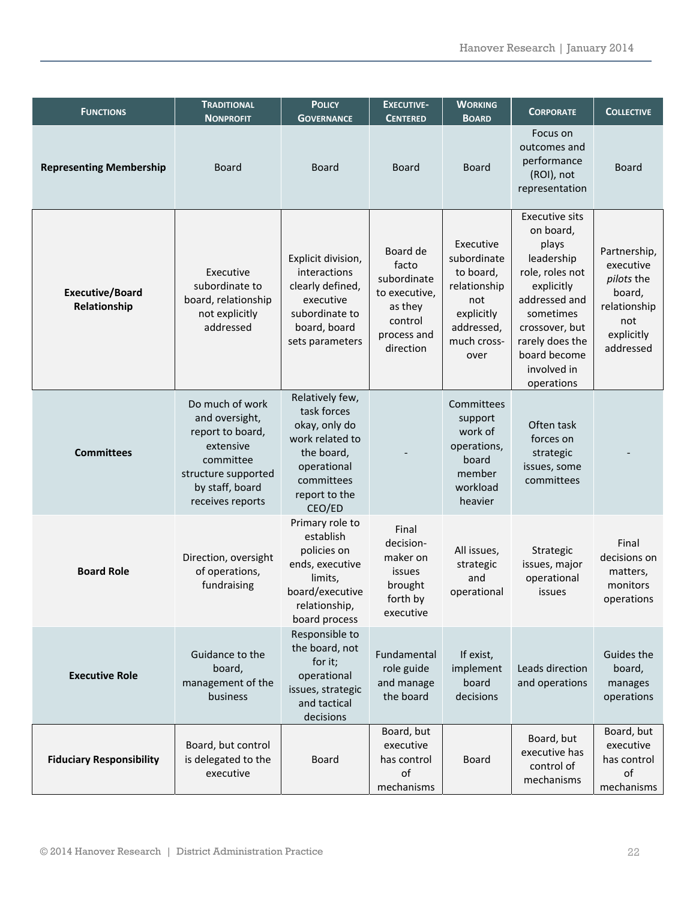| <b>FUNCTIONS</b>                       | <b>TRADITIONAL</b><br><b>NONPROFIT</b>                                                                                                        | <b>POLICY</b><br><b>GOVERNANCE</b>                                                                                                       | <b>EXECUTIVE-</b><br><b>CENTERED</b>                                                                | <b>WORKING</b><br><b>BOARD</b>                                                                                  | <b>CORPORATE</b>                                                                                                                                                                                           | <b>COLLECTIVE</b>                                                                                   |
|----------------------------------------|-----------------------------------------------------------------------------------------------------------------------------------------------|------------------------------------------------------------------------------------------------------------------------------------------|-----------------------------------------------------------------------------------------------------|-----------------------------------------------------------------------------------------------------------------|------------------------------------------------------------------------------------------------------------------------------------------------------------------------------------------------------------|-----------------------------------------------------------------------------------------------------|
| <b>Representing Membership</b>         | <b>Board</b>                                                                                                                                  | <b>Board</b>                                                                                                                             | <b>Board</b>                                                                                        | <b>Board</b>                                                                                                    | Focus on<br>outcomes and<br>performance<br>(ROI), not<br>representation                                                                                                                                    | <b>Board</b>                                                                                        |
| <b>Executive/Board</b><br>Relationship | Executive<br>subordinate to<br>board, relationship<br>not explicitly<br>addressed                                                             | Explicit division,<br>interactions<br>clearly defined,<br>executive<br>subordinate to<br>board, board<br>sets parameters                 | Board de<br>facto<br>subordinate<br>to executive,<br>as they<br>control<br>process and<br>direction | Executive<br>subordinate<br>to board,<br>relationship<br>not<br>explicitly<br>addressed,<br>much cross-<br>over | <b>Executive sits</b><br>on board,<br>plays<br>leadership<br>role, roles not<br>explicitly<br>addressed and<br>sometimes<br>crossover, but<br>rarely does the<br>board become<br>involved in<br>operations | Partnership,<br>executive<br>pilots the<br>board,<br>relationship<br>not<br>explicitly<br>addressed |
| <b>Committees</b>                      | Do much of work<br>and oversight,<br>report to board,<br>extensive<br>committee<br>structure supported<br>by staff, board<br>receives reports | Relatively few,<br>task forces<br>okay, only do<br>work related to<br>the board,<br>operational<br>committees<br>report to the<br>CEO/ED |                                                                                                     | Committees<br>support<br>work of<br>operations,<br>board<br>member<br>workload<br>heavier                       | Often task<br>forces on<br>strategic<br>issues, some<br>committees                                                                                                                                         |                                                                                                     |
| <b>Board Role</b>                      | Direction, oversight<br>of operations,<br>fundraising                                                                                         | Primary role to<br>establish<br>policies on<br>ends, executive<br>limits,<br>board/executive<br>relationship,<br>board process           | Final<br>decision-<br>maker on<br>issues<br>brought<br>forth by<br>executive                        | All issues,<br>strategic<br>and<br>operational                                                                  | Strategic<br>issues, major<br>operational<br>issues                                                                                                                                                        | Final<br>decisions on<br>matters,<br>monitors<br>operations                                         |
| <b>Executive Role</b>                  | Guidance to the<br>board,<br>management of the<br>business                                                                                    | Responsible to<br>the board, not<br>for it;<br>operational<br>issues, strategic<br>and tactical<br>decisions                             | Fundamental<br>role guide<br>and manage<br>the board                                                | If exist,<br>implement<br>board<br>decisions                                                                    | Leads direction<br>and operations                                                                                                                                                                          | Guides the<br>board,<br>manages<br>operations                                                       |
| <b>Fiduciary Responsibility</b>        | Board, but control<br>is delegated to the<br>executive                                                                                        | <b>Board</b>                                                                                                                             | Board, but<br>executive<br>has control<br>of<br>mechanisms                                          | <b>Board</b>                                                                                                    | Board, but<br>executive has<br>control of<br>mechanisms                                                                                                                                                    | Board, but<br>executive<br>has control<br>of<br>mechanisms                                          |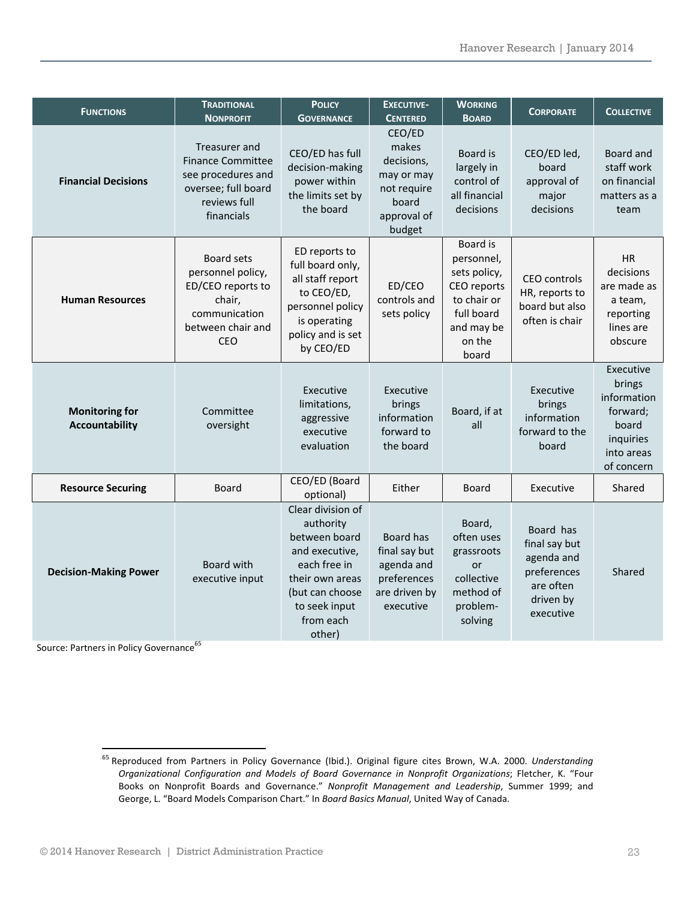| <b>FUNCTIONS</b>                               | <b>TRADITIONAL</b><br><b>NONPROFIT</b>                                                                                    | <b>POLICY</b><br><b>GOVERNANCE</b>                                                                                                                              | <b>EXECUTIVE-</b><br><b>CENTERED</b>                                                         | <b>WORKING</b><br><b>BOARD</b>                                                                                      | <b>CORPORATE</b>                                                                               | <b>COLLECTIVE</b>                                                                                |
|------------------------------------------------|---------------------------------------------------------------------------------------------------------------------------|-----------------------------------------------------------------------------------------------------------------------------------------------------------------|----------------------------------------------------------------------------------------------|---------------------------------------------------------------------------------------------------------------------|------------------------------------------------------------------------------------------------|--------------------------------------------------------------------------------------------------|
| <b>Financial Decisions</b>                     | Treasurer and<br><b>Finance Committee</b><br>see procedures and<br>oversee; full board<br>reviews full<br>financials      | CEO/ED has full<br>decision-making<br>power within<br>the limits set by<br>the board                                                                            | CEO/ED<br>makes<br>decisions,<br>may or may<br>not require<br>board<br>approval of<br>budget | Board is<br>largely in<br>control of<br>all financial<br>decisions                                                  | CEO/ED led,<br>board<br>approval of<br>major<br>decisions                                      | Board and<br>staff work<br>on financial<br>matters as a<br>team                                  |
| <b>Human Resources</b>                         | <b>Board sets</b><br>personnel policy,<br>ED/CEO reports to<br>chair,<br>communication<br>between chair and<br><b>CEO</b> | ED reports to<br>full board only,<br>all staff report<br>to CEO/ED,<br>personnel policy<br>is operating<br>policy and is set<br>by CEO/ED                       | ED/CEO<br>controls and<br>sets policy                                                        | Board is<br>personnel,<br>sets policy,<br>CEO reports<br>to chair or<br>full board<br>and may be<br>on the<br>board | CEO controls<br>HR, reports to<br>board but also<br>often is chair                             | <b>HR</b><br>decisions<br>are made as<br>a team,<br>reporting<br>lines are<br>obscure            |
| <b>Monitoring for</b><br><b>Accountability</b> | Committee<br>oversight                                                                                                    | Executive<br>limitations,<br>aggressive<br>executive<br>evaluation                                                                                              | Executive<br>brings<br>information<br>forward to<br>the board                                | Board, if at<br>all                                                                                                 | Executive<br>brings<br>information<br>forward to the<br>board                                  | Executive<br>brings<br>information<br>forward;<br>board<br>inquiries<br>into areas<br>of concern |
| <b>Resource Securing</b>                       | Board                                                                                                                     | CEO/ED (Board<br>optional)                                                                                                                                      | Either                                                                                       | <b>Board</b>                                                                                                        | Executive                                                                                      | Shared                                                                                           |
| <b>Decision-Making Power</b>                   | Board with<br>executive input                                                                                             | Clear division of<br>authority<br>between board<br>and executive,<br>each free in<br>their own areas<br>(but can choose<br>to seek input<br>from each<br>other) | Board has<br>final say but<br>agenda and<br>preferences<br>are driven by<br>executive        | Board,<br>often uses<br>grassroots<br>or<br>collective<br>method of<br>problem-<br>solving                          | Board has<br>final say but<br>agenda and<br>preferences<br>are often<br>driven by<br>executive | Shared                                                                                           |

Source: Partners in Policy Governance<sup>65</sup>

<sup>65</sup> Reproduced from Partners in Policy Governance (Ibid.). Original figure cites Brown, W.A. 2000. *Understanding Organizational Configuration and Models of Board Governance in Nonprofit Organizations*; Fletcher, K. "Four Books on Nonprofit Boards and Governance." *Nonprofit Management and Leadership*, Summer 1999; and George, L. "Board Models Comparison Chart." In *Board Basics Manual*, United Way of Canada.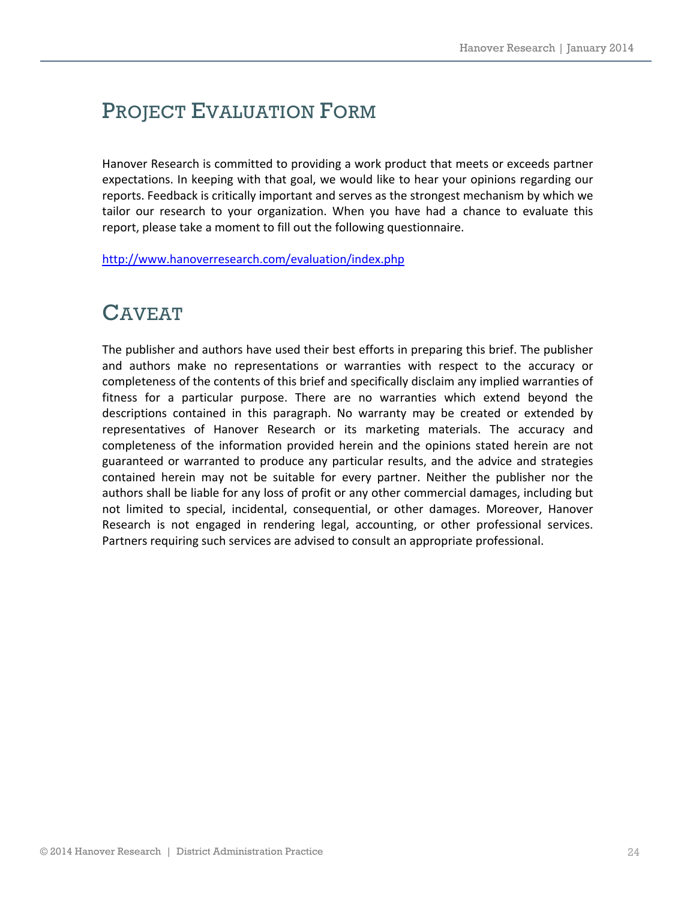# PROJECT EVALUATION FORM

Hanover Research is committed to providing a work product that meets or exceeds partner expectations. In keeping with that goal, we would like to hear your opinions regarding our reports. Feedback is critically important and serves as the strongest mechanism by which we tailor our research to your organization. When you have had a chance to evaluate this report, please take a moment to fill out the following questionnaire.

http://www.hanoverresearch.com/evaluation/index.php

### CAVEAT

The publisher and authors have used their best efforts in preparing this brief. The publisher and authors make no representations or warranties with respect to the accuracy or completeness of the contents of this brief and specifically disclaim any implied warranties of fitness for a particular purpose. There are no warranties which extend beyond the descriptions contained in this paragraph. No warranty may be created or extended by representatives of Hanover Research or its marketing materials. The accuracy and completeness of the information provided herein and the opinions stated herein are not guaranteed or warranted to produce any particular results, and the advice and strategies contained herein may not be suitable for every partner. Neither the publisher nor the authors shall be liable for any loss of profit or any other commercial damages, including but not limited to special, incidental, consequential, or other damages. Moreover, Hanover Research is not engaged in rendering legal, accounting, or other professional services. Partners requiring such services are advised to consult an appropriate professional.